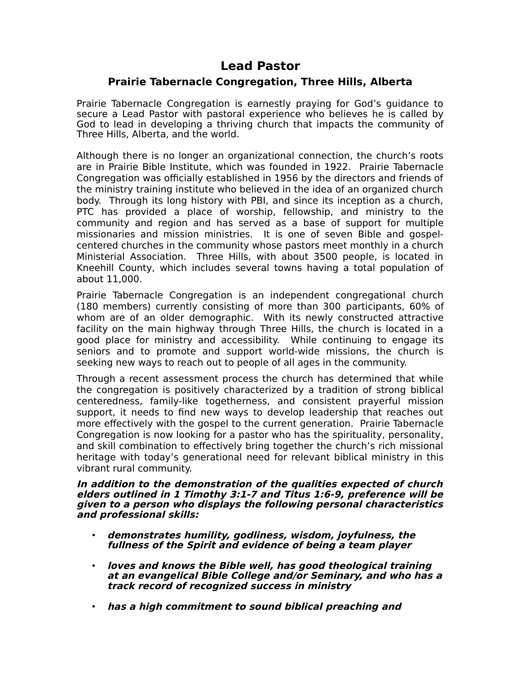## **Lead Pastor**

## **Prairie Tabernacle Congregation, Three Hills, Alberta**

Prairie Tabernacle Congregation is earnestly praying for God's guidance to secure a Lead Pastor with pastoral experience who believes he is called by God to lead in developing a thriving church that impacts the community of Three Hills, Alberta, and the world.

Although there is no longer an organizational connection, the church's roots are in Prairie Bible Institute, which was founded in 1922. Prairie Tabernacle Congregation was officially established in 1956 by the directors and friends of the ministry training institute who believed in the idea of an organized church body. Through its long history with PBI, and since its inception as a church, PTC has provided a place of worship, fellowship, and ministry to the community and region and has served as a base of support for multiple missionaries and mission ministries. It is one of seven Bible and gospelcentered churches in the community whose pastors meet monthly in a church Ministerial Association. Three Hills, with about 3500 people, is located in Kneehill County, which includes several towns having a total population of about 11,000.

Prairie Tabernacle Congregation is an independent congregational church (180 members) currently consisting of more than 300 participants, 60% of whom are of an older demographic. With its newly constructed attractive facility on the main highway through Three Hills, the church is located in a good place for ministry and accessibility. While continuing to engage its seniors and to promote and support world-wide missions, the church is seeking new ways to reach out to people of all ages in the community.

Through a recent assessment process the church has determined that while the congregation is positively characterized by a tradition of strong biblical centeredness, family-like togetherness, and consistent prayerful mission support, it needs to find new ways to develop leadership that reaches out more effectively with the gospel to the current generation. Prairie Tabernacle Congregation is now looking for a pastor who has the spirituality, personality, and skill combination to effectively bring together the church's rich missional heritage with today's generational need for relevant biblical ministry in this vibrant rural community.

## **In addition to the demonstration of the qualities expected of church elders outlined in 1 Timothy 3:1-7 and Titus 1:6-9, preference will be given to a person who displays the following personal characteristics and professional skills:**

- **demonstrates humility, godliness, wisdom, joyfulness, the fullness of the Spirit and evidence of being a team player**
- **loves and knows the Bible well, has good theological training at an evangelical Bible College and/or Seminary, and who has a track record of recognized success in ministry**
- **has a high commitment to sound biblical preaching and**